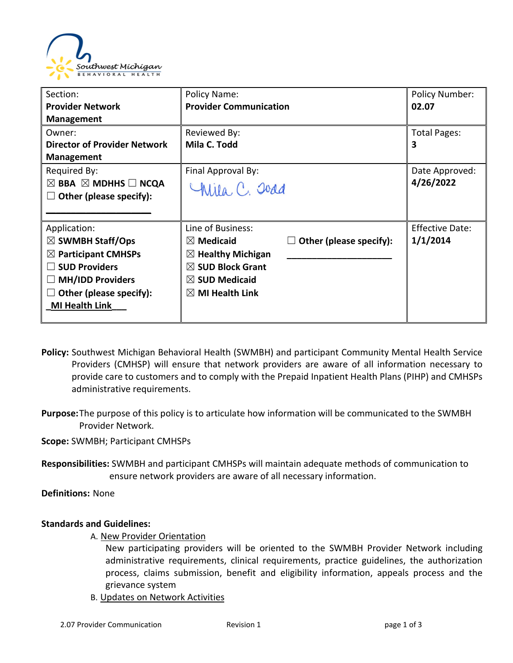

| Section:                                      | Policy Name:                  |                                | <b>Policy Number:</b>  |
|-----------------------------------------------|-------------------------------|--------------------------------|------------------------|
| <b>Provider Network</b>                       | <b>Provider Communication</b> |                                | 02.07                  |
| <b>Management</b>                             |                               |                                |                        |
| Owner:                                        | Reviewed By:                  |                                | Total Pages:           |
| <b>Director of Provider Network</b>           | Mila C. Todd                  |                                | 3                      |
| <b>Management</b>                             |                               |                                |                        |
| Required By:                                  | Final Approval By:            |                                | Date Approved:         |
| $\boxtimes$ BBA $\boxtimes$ MDHHS $\Box$ NCQA | Willa, C. Joad                |                                | 4/26/2022              |
| Other (please specify):                       |                               |                                |                        |
|                                               |                               |                                |                        |
| Application:                                  | Line of Business:             |                                | <b>Effective Date:</b> |
| $\boxtimes$ SWMBH Staff/Ops                   | $\boxtimes$ Medicaid          | $\Box$ Other (please specify): | 1/1/2014               |
| $\boxtimes$ Participant CMHSPs                | $\boxtimes$ Healthy Michigan  |                                |                        |
| <b>SUD Providers</b>                          | $\boxtimes$ SUD Block Grant   |                                |                        |
| <b>MH/IDD Providers</b>                       | $\boxtimes$ SUD Medicaid      |                                |                        |
| Other (please specify):                       | $\boxtimes$ MI Health Link    |                                |                        |
| <b>MI Health Link</b>                         |                               |                                |                        |
|                                               |                               |                                |                        |

- **Policy:** Southwest Michigan Behavioral Health (SWMBH) and participant Community Mental Health Service Providers (CMHSP) will ensure that network providers are aware of all information necessary to provide care to customers and to comply with the Prepaid Inpatient Health Plans (PIHP) and CMHSPs administrative requirements.
- **Purpose:**The purpose of this policy is to articulate how information will be communicated to the SWMBH Provider Network.
- **Scope:** SWMBH; Participant CMHSPs
- **Responsibilities:** SWMBH and participant CMHSPs will maintain adequate methods of communication to ensure network providers are aware of all necessary information.

**Definitions:** None

## **Standards and Guidelines:**

A. New Provider Orientation

New participating providers will be oriented to the SWMBH Provider Network including administrative requirements, clinical requirements, practice guidelines, the authorization process, claims submission, benefit and eligibility information, appeals process and the grievance system

B. Updates on Network Activities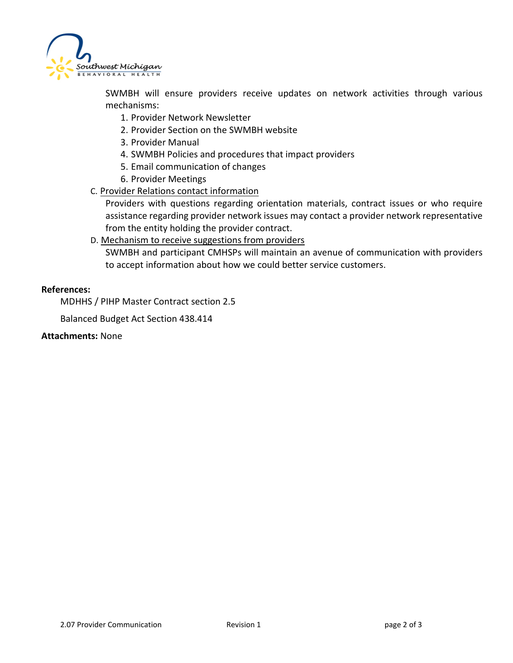

SWMBH will ensure providers receive updates on network activities through various mechanisms:

- 1. Provider Network Newsletter
- 2. Provider Section on the SWMBH website
- 3. Provider Manual
- 4. SWMBH Policies and procedures that impact providers
- 5. Email communication of changes
- 6. Provider Meetings
- C. Provider Relations contact information

Providers with questions regarding orientation materials, contract issues or who require assistance regarding provider network issues may contact a provider network representative from the entity holding the provider contract.

D. Mechanism to receive suggestions from providers

SWMBH and participant CMHSPs will maintain an avenue of communication with providers to accept information about how we could better service customers.

## **References:**

MDHHS / PIHP Master Contract section 2.5

Balanced Budget Act Section 438.414

**Attachments:** None